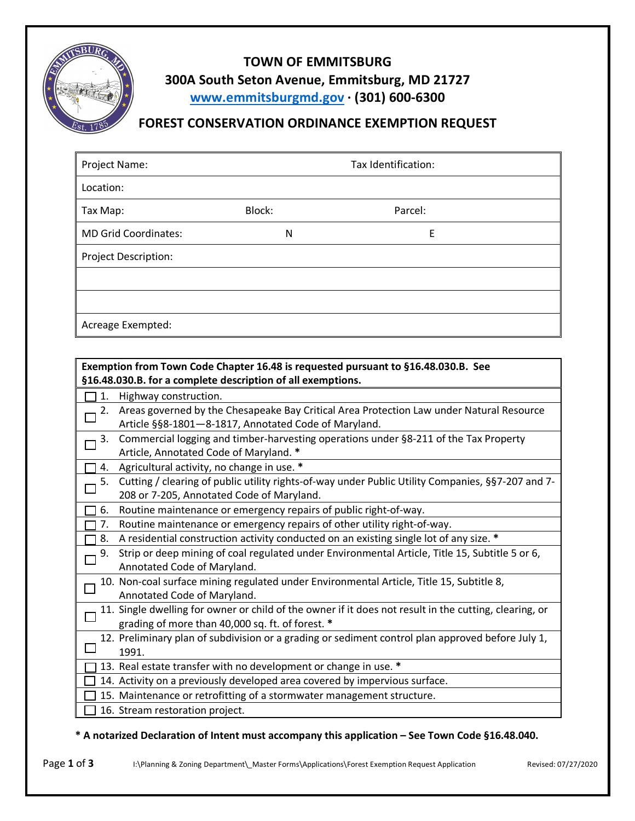

## **TOWN OF EMMITSBURG 300A South Seton Avenue, Emmitsburg, MD 21727 www.emmitsburgmd.gov · (301) 600-6300**

## **FOREST CONSERVATION ORDINANCE EXEMPTION REQUEST**

| Project Name:               | Tax Identification: |         |  |
|-----------------------------|---------------------|---------|--|
| Location:                   |                     |         |  |
| Tax Map:                    | Block:              | Parcel: |  |
| <b>MD Grid Coordinates:</b> | N                   | Ε       |  |
| <b>Project Description:</b> |                     |         |  |
|                             |                     |         |  |
|                             |                     |         |  |
| Acreage Exempted:           |                     |         |  |

| Exemption from Town Code Chapter 16.48 is requested pursuant to §16.48.030.B. See |                                                                                                        |  |  |
|-----------------------------------------------------------------------------------|--------------------------------------------------------------------------------------------------------|--|--|
| §16.48.030.B. for a complete description of all exemptions.                       |                                                                                                        |  |  |
| 1.                                                                                | Highway construction.                                                                                  |  |  |
| 2.                                                                                | Areas governed by the Chesapeake Bay Critical Area Protection Law under Natural Resource               |  |  |
|                                                                                   | Article §§8-1801-8-1817, Annotated Code of Maryland.                                                   |  |  |
| 3.                                                                                | Commercial logging and timber-harvesting operations under §8-211 of the Tax Property                   |  |  |
|                                                                                   | Article, Annotated Code of Maryland. *                                                                 |  |  |
| 4.                                                                                | Agricultural activity, no change in use. *                                                             |  |  |
| 5.                                                                                | Cutting / clearing of public utility rights-of-way under Public Utility Companies, §§7-207 and 7-      |  |  |
|                                                                                   | 208 or 7-205, Annotated Code of Maryland.                                                              |  |  |
| 6.                                                                                | Routine maintenance or emergency repairs of public right-of-way.                                       |  |  |
| 7.                                                                                | Routine maintenance or emergency repairs of other utility right-of-way.                                |  |  |
| $\Box$ 8.                                                                         | A residential construction activity conducted on an existing single lot of any size. *                 |  |  |
| 9.                                                                                | Strip or deep mining of coal regulated under Environmental Article, Title 15, Subtitle 5 or 6,         |  |  |
|                                                                                   | Annotated Code of Maryland.                                                                            |  |  |
|                                                                                   | 10. Non-coal surface mining regulated under Environmental Article, Title 15, Subtitle 8,               |  |  |
|                                                                                   | Annotated Code of Maryland.                                                                            |  |  |
|                                                                                   | 11. Single dwelling for owner or child of the owner if it does not result in the cutting, clearing, or |  |  |
|                                                                                   | grading of more than 40,000 sq. ft. of forest. *                                                       |  |  |
|                                                                                   | 12. Preliminary plan of subdivision or a grading or sediment control plan approved before July 1,      |  |  |
|                                                                                   | 1991.                                                                                                  |  |  |
|                                                                                   | 13. Real estate transfer with no development or change in use. *                                       |  |  |
|                                                                                   | 14. Activity on a previously developed area covered by impervious surface.                             |  |  |
|                                                                                   | 15. Maintenance or retrofitting of a stormwater management structure.                                  |  |  |
|                                                                                   | 16. Stream restoration project.                                                                        |  |  |

## **\* A notarized Declaration of Intent must accompany this application – See Town Code §16.48.040.**